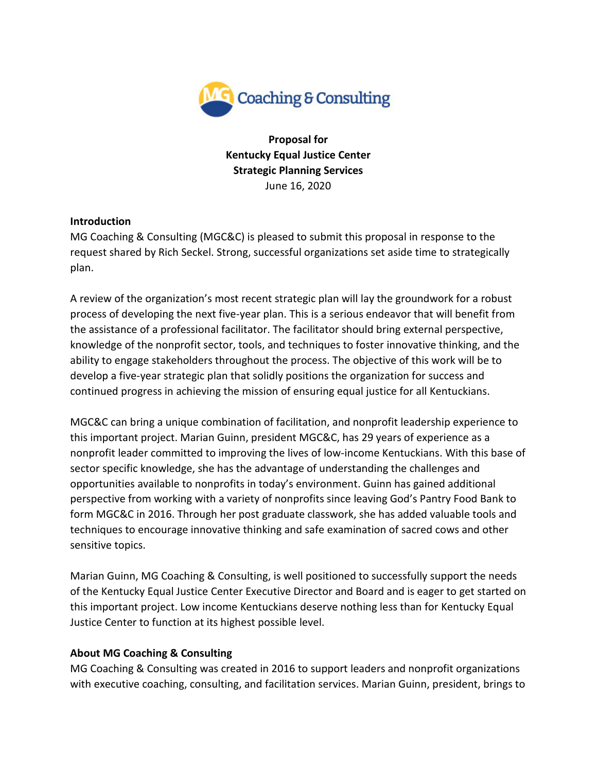

**Proposal for Kentucky Equal Justice Center Strategic Planning Services** June 16, 2020

### **Introduction**

MG Coaching & Consulting (MGC&C) is pleased to submit this proposal in response to the request shared by Rich Seckel. Strong, successful organizations set aside time to strategically plan.

A review of the organization's most recent strategic plan will lay the groundwork for a robust process of developing the next five-year plan. This is a serious endeavor that will benefit from the assistance of a professional facilitator. The facilitator should bring external perspective, knowledge of the nonprofit sector, tools, and techniques to foster innovative thinking, and the ability to engage stakeholders throughout the process. The objective of this work will be to develop a five-year strategic plan that solidly positions the organization for success and continued progress in achieving the mission of ensuring equal justice for all Kentuckians.

MGC&C can bring a unique combination of facilitation, and nonprofit leadership experience to this important project. Marian Guinn, president MGC&C, has 29 years of experience as a nonprofit leader committed to improving the lives of low-income Kentuckians. With this base of sector specific knowledge, she has the advantage of understanding the challenges and opportunities available to nonprofits in today's environment. Guinn has gained additional perspective from working with a variety of nonprofits since leaving God's Pantry Food Bank to form MGC&C in 2016. Through her post graduate classwork, she has added valuable tools and techniques to encourage innovative thinking and safe examination of sacred cows and other sensitive topics.

Marian Guinn, MG Coaching & Consulting, is well positioned to successfully support the needs of the Kentucky Equal Justice Center Executive Director and Board and is eager to get started on this important project. Low income Kentuckians deserve nothing less than for Kentucky Equal Justice Center to function at its highest possible level.

# **About MG Coaching & Consulting**

MG Coaching & Consulting was created in 2016 to support leaders and nonprofit organizations with executive coaching, consulting, and facilitation services. Marian Guinn, president, brings to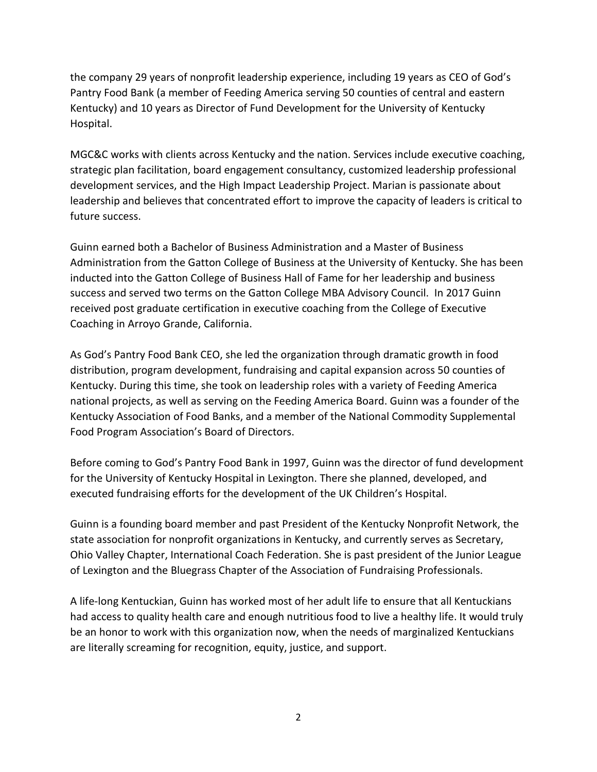the company 29 years of nonprofit leadership experience, including 19 years as CEO of God's Pantry Food Bank (a member of Feeding America serving 50 counties of central and eastern Kentucky) and 10 years as Director of Fund Development for the University of Kentucky Hospital.

MGC&C works with clients across Kentucky and the nation. Services include executive coaching, strategic plan facilitation, board engagement consultancy, customized leadership professional development services, and the High Impact Leadership Project. Marian is passionate about leadership and believes that concentrated effort to improve the capacity of leaders is critical to future success.

Guinn earned both a Bachelor of Business Administration and a Master of Business Administration from the Gatton College of Business at the University of Kentucky. She has been inducted into the Gatton College of Business Hall of Fame for her leadership and business success and served two terms on the Gatton College MBA Advisory Council. In 2017 Guinn received post graduate certification in executive coaching from the College of Executive Coaching in Arroyo Grande, California.

As God's Pantry Food Bank CEO, she led the organization through dramatic growth in food distribution, program development, fundraising and capital expansion across 50 counties of Kentucky. During this time, she took on leadership roles with a variety of Feeding America national projects, as well as serving on the Feeding America Board. Guinn was a founder of the Kentucky Association of Food Banks, and a member of the National Commodity Supplemental Food Program Association's Board of Directors.

Before coming to God's Pantry Food Bank in 1997, Guinn was the director of fund development for the University of Kentucky Hospital in Lexington. There she planned, developed, and executed fundraising efforts for the development of the UK Children's Hospital.

Guinn is a founding board member and past President of the Kentucky Nonprofit Network, the state association for nonprofit organizations in Kentucky, and currently serves as Secretary, Ohio Valley Chapter, International Coach Federation. She is past president of the Junior League of Lexington and the Bluegrass Chapter of the Association of Fundraising Professionals.

A life-long Kentuckian, Guinn has worked most of her adult life to ensure that all Kentuckians had access to quality health care and enough nutritious food to live a healthy life. It would truly be an honor to work with this organization now, when the needs of marginalized Kentuckians are literally screaming for recognition, equity, justice, and support.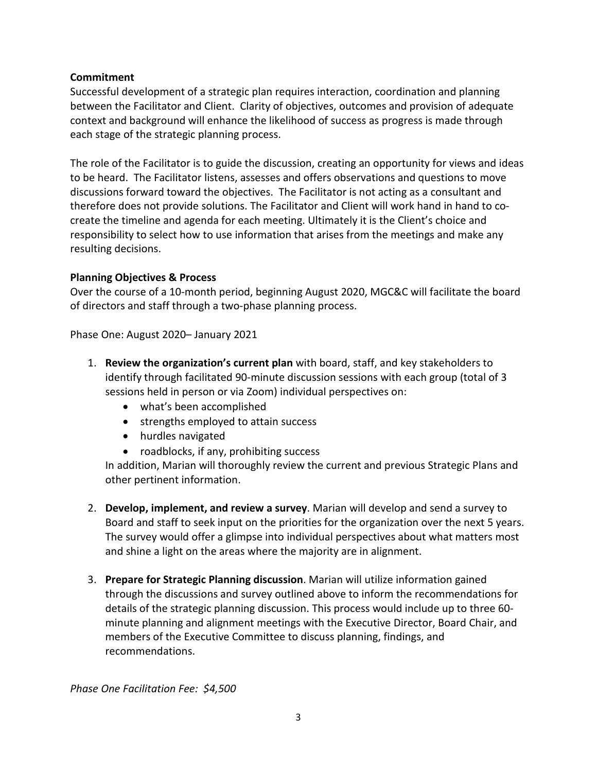## **Commitment**

Successful development of a strategic plan requires interaction, coordination and planning between the Facilitator and Client. Clarity of objectives, outcomes and provision of adequate context and background will enhance the likelihood of success as progress is made through each stage of the strategic planning process.

The role of the Facilitator is to guide the discussion, creating an opportunity for views and ideas to be heard. The Facilitator listens, assesses and offers observations and questions to move discussions forward toward the objectives. The Facilitator is not acting as a consultant and therefore does not provide solutions. The Facilitator and Client will work hand in hand to cocreate the timeline and agenda for each meeting. Ultimately it is the Client's choice and responsibility to select how to use information that arises from the meetings and make any resulting decisions.

### **Planning Objectives & Process**

Over the course of a 10-month period, beginning August 2020, MGC&C will facilitate the board of directors and staff through a two-phase planning process.

Phase One: August 2020– January 2021

- 1. **Review the organization's current plan** with board, staff, and key stakeholders to identify through facilitated 90-minute discussion sessions with each group (total of 3 sessions held in person or via Zoom) individual perspectives on:
	- what's been accomplished
	- strengths employed to attain success
	- hurdles navigated
	- roadblocks, if any, prohibiting success

In addition, Marian will thoroughly review the current and previous Strategic Plans and other pertinent information.

- 2. **Develop, implement, and review a survey**. Marian will develop and send a survey to Board and staff to seek input on the priorities for the organization over the next 5 years. The survey would offer a glimpse into individual perspectives about what matters most and shine a light on the areas where the majority are in alignment.
- 3. **Prepare for Strategic Planning discussion**. Marian will utilize information gained through the discussions and survey outlined above to inform the recommendations for details of the strategic planning discussion. This process would include up to three 60 minute planning and alignment meetings with the Executive Director, Board Chair, and members of the Executive Committee to discuss planning, findings, and recommendations.

*Phase One Facilitation Fee: \$4,500*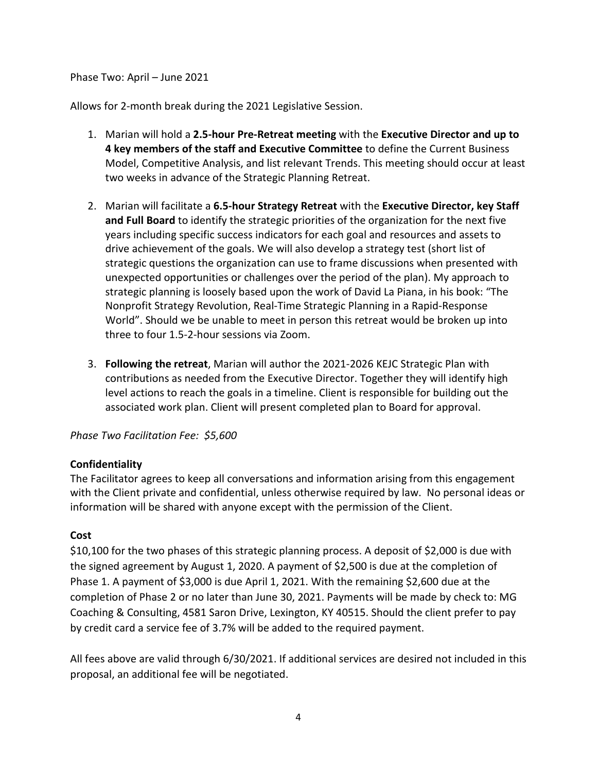Phase Two: April – June 2021

Allows for 2-month break during the 2021 Legislative Session.

- 1. Marian will hold a **2.5-hour Pre-Retreat meeting** with the **Executive Director and up to 4 key members of the staff and Executive Committee** to define the Current Business Model, Competitive Analysis, and list relevant Trends. This meeting should occur at least two weeks in advance of the Strategic Planning Retreat.
- 2. Marian will facilitate a **6.5-hour Strategy Retreat** with the **Executive Director, key Staff and Full Board** to identify the strategic priorities of the organization for the next five years including specific success indicators for each goal and resources and assets to drive achievement of the goals. We will also develop a strategy test (short list of strategic questions the organization can use to frame discussions when presented with unexpected opportunities or challenges over the period of the plan). My approach to strategic planning is loosely based upon the work of David La Piana, in his book: "The Nonprofit Strategy Revolution, Real-Time Strategic Planning in a Rapid-Response World". Should we be unable to meet in person this retreat would be broken up into three to four 1.5-2-hour sessions via Zoom.
- 3. **Following the retreat**, Marian will author the 2021-2026 KEJC Strategic Plan with contributions as needed from the Executive Director. Together they will identify high level actions to reach the goals in a timeline. Client is responsible for building out the associated work plan. Client will present completed plan to Board for approval.

### *Phase Two Facilitation Fee: \$5,600*

# **Confidentiality**

The Facilitator agrees to keep all conversations and information arising from this engagement with the Client private and confidential, unless otherwise required by law. No personal ideas or information will be shared with anyone except with the permission of the Client.

### **Cost**

\$10,100 for the two phases of this strategic planning process. A deposit of \$2,000 is due with the signed agreement by August 1, 2020. A payment of \$2,500 is due at the completion of Phase 1. A payment of \$3,000 is due April 1, 2021. With the remaining \$2,600 due at the completion of Phase 2 or no later than June 30, 2021. Payments will be made by check to: MG Coaching & Consulting, 4581 Saron Drive, Lexington, KY 40515. Should the client prefer to pay by credit card a service fee of 3.7% will be added to the required payment.

All fees above are valid through 6/30/2021. If additional services are desired not included in this proposal, an additional fee will be negotiated.